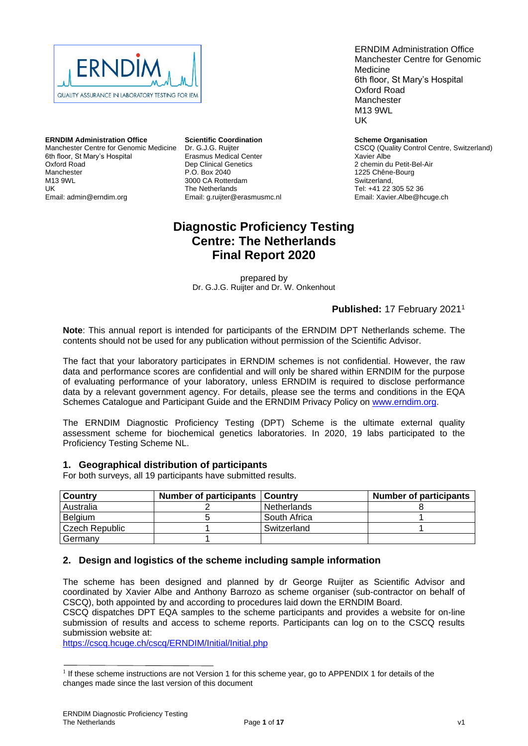

**ERNDIM Administration Office** Manchester Centre for Genomic Medicine 6th floor, St Mary's Hospital Oxford Road Manchester M13 9WL UK Email: admin@erndim.org

**Scientific Coordination** Dr. G.J.G. Ruijter Erasmus Medical Center Dep Clinical Genetics P.O. Box 2040 3000 CA Rotterdam The Netherlands Email: g.ruijter@erasmusmc.nl

ERNDIM Administration Office Manchester Centre for Genomic Medicine 6th floor, St Mary's Hospital Oxford Road Manchester M13 9WL UK

**Scheme Organisation** CSCQ (Quality Control Centre, Switzerland) Xavier Albe

2 chemin du Petit-Bel-Air 1225 Chêne-Bourg Switzerland, Tel: +41 22 305 52 36 Email: Xavier.Albe@hcuge.ch

# **Diagnostic Proficiency Testing Centre: The Netherlands Final Report 2020**

prepared by Dr. G.J.G. Ruijter and Dr. W. Onkenhout

## **Published:** 17 February 2021<sup>1</sup>

**Note**: This annual report is intended for participants of the ERNDIM DPT Netherlands scheme. The contents should not be used for any publication without permission of the Scientific Advisor.

The fact that your laboratory participates in ERNDIM schemes is not confidential. However, the raw data and performance scores are confidential and will only be shared within ERNDIM for the purpose of evaluating performance of your laboratory, unless ERNDIM is required to disclose performance data by a relevant government agency. For details, please see the terms and conditions in the EQA Schemes Catalogue and Participant Guide and the ERNDIM Privacy Policy on [www.erndim.org.](http://www.erndim.org/)

The ERNDIM Diagnostic Proficiency Testing (DPT) Scheme is the ultimate external quality assessment scheme for biochemical genetics laboratories. In 2020, 19 labs participated to the Proficiency Testing Scheme NL.

## **1. Geographical distribution of participants**

For both surveys, all 19 participants have submitted results.

| l Countrv      | Number of participants   Country |              | <b>Number of participants</b> |
|----------------|----------------------------------|--------------|-------------------------------|
| Australia      |                                  | Netherlands  |                               |
| Belgium        |                                  | South Africa |                               |
| Czech Republic |                                  | Switzerland  |                               |
| Germany        |                                  |              |                               |

## **2. Design and logistics of the scheme including sample information**

The scheme has been designed and planned by dr George Ruijter as Scientific Advisor and coordinated by Xavier Albe and Anthony Barrozo as scheme organiser (sub-contractor on behalf of CSCQ), both appointed by and according to procedures laid down the ERNDIM Board.

CSCQ dispatches DPT EQA samples to the scheme participants and provides a website for on-line submission of results and access to scheme reports. Participants can log on to the CSCQ results submission website at:

<https://cscq.hcuge.ch/cscq/ERNDIM/Initial/Initial.php>

<sup>&</sup>lt;sup>1</sup> If these scheme instructions are not Version 1 for this scheme year, go to [APPENDIX 1](#page-16-0) for details of the changes made since the last version of this document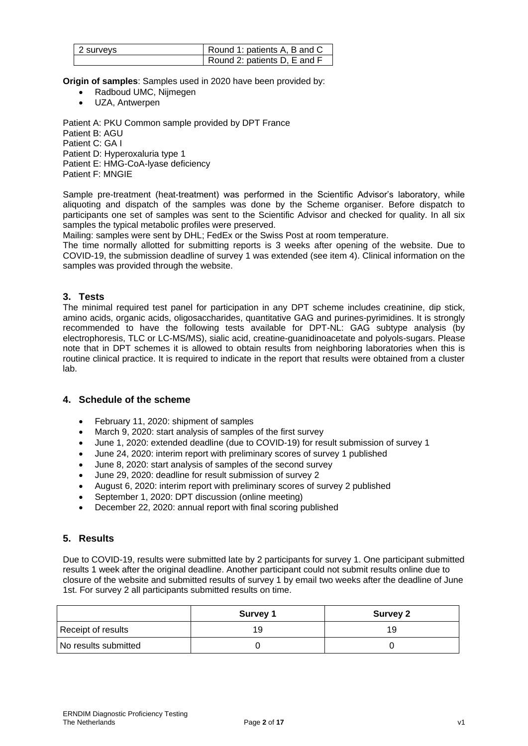| 2 surveys | Round 1: patients A, B and C |
|-----------|------------------------------|
|           | Round 2: patients D, E and F |

**Origin of samples**: Samples used in 2020 have been provided by:

- Radboud UMC, Nijmegen
- UZA, Antwerpen

Patient A: PKU Common sample provided by DPT France Patient B: AGU Patient C: GA I Patient D: Hyperoxaluria type 1 Patient E: HMG-CoA-lyase deficiency Patient F: MNGIE

Sample pre-treatment (heat-treatment) was performed in the Scientific Advisor's laboratory, while aliquoting and dispatch of the samples was done by the Scheme organiser. Before dispatch to participants one set of samples was sent to the Scientific Advisor and checked for quality. In all six samples the typical metabolic profiles were preserved.

Mailing: samples were sent by DHL; FedEx or the Swiss Post at room temperature.

The time normally allotted for submitting reports is 3 weeks after opening of the website. Due to COVID-19, the submission deadline of survey 1 was extended (see item 4). Clinical information on the samples was provided through the website.

## **3. Tests**

The minimal required test panel for participation in any DPT scheme includes creatinine, dip stick, amino acids, organic acids, oligosaccharides, quantitative GAG and purines-pyrimidines. It is strongly recommended to have the following tests available for DPT-NL: GAG subtype analysis (by electrophoresis, TLC or LC-MS/MS), sialic acid, creatine-guanidinoacetate and polyols-sugars. Please note that in DPT schemes it is allowed to obtain results from neighboring laboratories when this is routine clinical practice. It is required to indicate in the report that results were obtained from a cluster lab.

## **4. Schedule of the scheme**

- February 11, 2020: shipment of samples
- March 9, 2020: start analysis of samples of the first survey
- June 1, 2020: extended deadline (due to COVID-19) for result submission of survey 1
- June 24, 2020: interim report with preliminary scores of survey 1 published
- June 8, 2020: start analysis of samples of the second survey
- June 29, 2020: deadline for result submission of survey 2
- August 6, 2020: interim report with preliminary scores of survey 2 published
- September 1, 2020: DPT discussion (online meeting)
- December 22, 2020: annual report with final scoring published

## **5. Results**

Due to COVID-19, results were submitted late by 2 participants for survey 1. One participant submitted results 1 week after the original deadline. Another participant could not submit results online due to closure of the website and submitted results of survey 1 by email two weeks after the deadline of June 1st. For survey 2 all participants submitted results on time.

|                      | <b>Survey 1</b> | <b>Survey 2</b> |
|----------------------|-----------------|-----------------|
| Receipt of results   | 19              | 19              |
| No results submitted |                 |                 |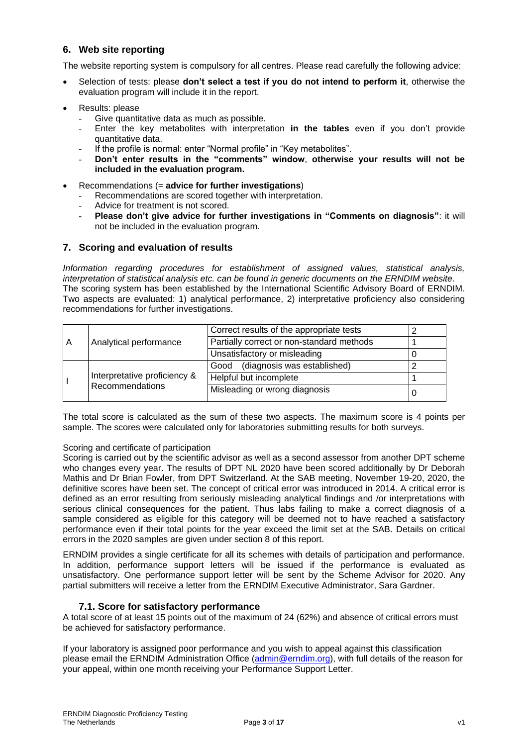## **6. Web site reporting**

The website reporting system is compulsory for all centres. Please read carefully the following advice:

- Selection of tests: please **don't select a test if you do not intend to perform it**, otherwise the evaluation program will include it in the report.
- Results: please
	- Give quantitative data as much as possible.
	- Enter the key metabolites with interpretation **in the tables** even if you don't provide quantitative data.
	- If the profile is normal: enter "Normal profile" in "Key metabolites".
	- **Don't enter results in the "comments" window**, **otherwise your results will not be included in the evaluation program.**
- Recommendations (= **advice for further investigations**)
	- Recommendations are scored together with interpretation.
	- Advice for treatment is not scored.
	- **Please don't give advice for further investigations in "Comments on diagnosis"**: it will not be included in the evaluation program.

## **7. Scoring and evaluation of results**

*Information regarding procedures for establishment of assigned values, statistical analysis, interpretation of statistical analysis etc. can be found in generic documents on the ERNDIM website*. The scoring system has been established by the International Scientific Advisory Board of ERNDIM. Two aspects are evaluated: 1) analytical performance, 2) interpretative proficiency also considering recommendations for further investigations.

|   |                              | Correct results of the appropriate tests  |  |
|---|------------------------------|-------------------------------------------|--|
| A | Analytical performance       | Partially correct or non-standard methods |  |
|   |                              | Unsatisfactory or misleading              |  |
|   |                              | Good (diagnosis was established)          |  |
|   | Interpretative proficiency & | Helpful but incomplete                    |  |
|   | Recommendations              | Misleading or wrong diagnosis             |  |

The total score is calculated as the sum of these two aspects. The maximum score is 4 points per sample. The scores were calculated only for laboratories submitting results for both surveys.

#### Scoring and certificate of participation

Scoring is carried out by the scientific advisor as well as a second assessor from another DPT scheme who changes every year. The results of DPT NL 2020 have been scored additionally by Dr Deborah Mathis and Dr Brian Fowler, from DPT Switzerland. At the SAB meeting, November 19-20, 2020, the definitive scores have been set. The concept of critical error was introduced in 2014. A critical error is defined as an error resulting from seriously misleading analytical findings and /or interpretations with serious clinical consequences for the patient. Thus labs failing to make a correct diagnosis of a sample considered as eligible for this category will be deemed not to have reached a satisfactory performance even if their total points for the year exceed the limit set at the SAB. Details on critical errors in the 2020 samples are given under section 8 of this report.

ERNDIM provides a single certificate for all its schemes with details of participation and performance. In addition, performance support letters will be issued if the performance is evaluated as unsatisfactory. One performance support letter will be sent by the Scheme Advisor for 2020. Any partial submitters will receive a letter from the ERNDIM Executive Administrator, Sara Gardner.

## **7.1. Score for satisfactory performance**

A total score of at least 15 points out of the maximum of 24 (62%) and absence of critical errors must be achieved for satisfactory performance.

If your laboratory is assigned poor performance and you wish to appeal against this classification please email the ERNDIM Administration Office [\(admin@erndim.org\)](mailto:admin@erndim.org), with full details of the reason for your appeal, within one month receiving your Performance Support Letter.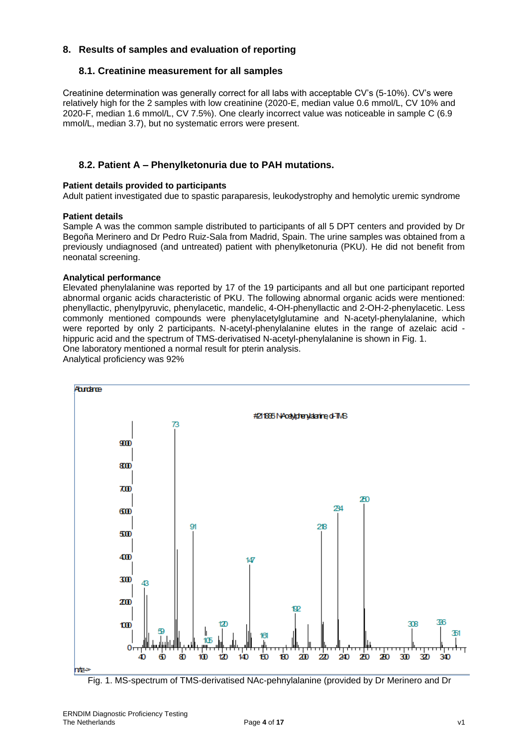## **8. Results of samples and evaluation of reporting**

## **8.1. Creatinine measurement for all samples**

Creatinine determination was generally correct for all labs with acceptable CV's (5-10%). CV's were relatively high for the 2 samples with low creatinine (2020-E, median value 0.6 mmol/L, CV 10% and 2020-F, median 1.6 mmol/L, CV 7.5%). One clearly incorrect value was noticeable in sample C (6.9 mmol/L, median 3.7), but no systematic errors were present.

## **8.2. Patient A – Phenylketonuria due to PAH mutations.**

#### **Patient details provided to participants**

Adult patient investigated due to spastic paraparesis, leukodystrophy and hemolytic uremic syndrome

#### **Patient details**

Sample A was the common sample distributed to participants of all 5 DPT centers and provided by Dr Begoña Merinero and Dr Pedro Ruiz-Sala from Madrid, Spain. The urine samples was obtained from a previously undiagnosed (and untreated) patient with phenylketonuria (PKU). He did not benefit from neonatal screening.

### **Analytical performance**

Elevated phenylalanine was reported by 17 of the 19 participants and all but one participant reported abnormal organic acids characteristic of PKU. The following abnormal organic acids were mentioned: phenyllactic, phenylpyruvic, phenylacetic, mandelic, 4-OH-phenyllactic and 2-OH-2-phenylacetic. Less commonly mentioned compounds were phenylacetylglutamine and N-acetyl-phenylalanine, which were reported by only 2 participants. N-acetyl-phenylalanine elutes in the range of azelaic acid hippuric acid and the spectrum of TMS-derivatised N-acetyl-phenylalanine is shown in Fig. 1. One laboratory mentioned a normal result for pterin analysis.

Analytical proficiency was 92%



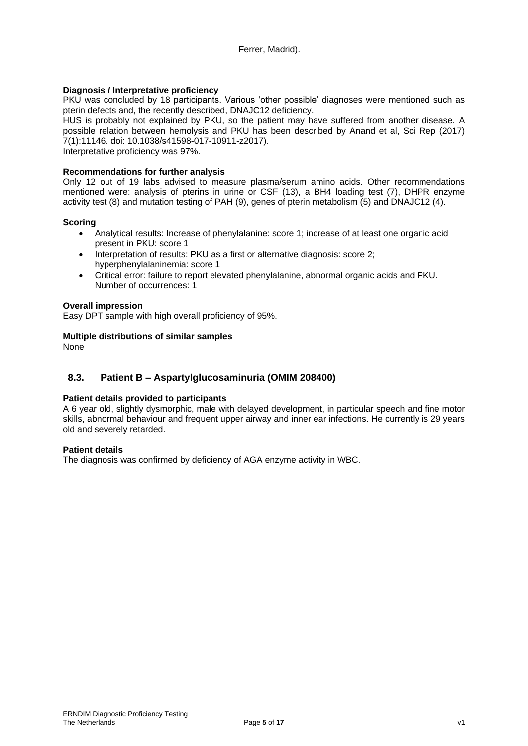### **Diagnosis / Interpretative proficiency**

PKU was concluded by 18 participants. Various 'other possible' diagnoses were mentioned such as pterin defects and, the recently described, DNAJC12 deficiency.

HUS is probably not explained by PKU, so the patient may have suffered from another disease. A possible relation between hemolysis and PKU has been described by Anand et al, Sci Rep (2017) 7(1):11146. doi: 10.1038/s41598-017-10911-z2017).

Interpretative proficiency was 97%.

#### **Recommendations for further analysis**

Only 12 out of 19 labs advised to measure plasma/serum amino acids. Other recommendations mentioned were: analysis of pterins in urine or CSF (13), a BH4 loading test (7), DHPR enzyme activity test (8) and mutation testing of PAH (9), genes of pterin metabolism (5) and DNAJC12 (4).

#### **Scoring**

- Analytical results: Increase of phenylalanine: score 1; increase of at least one organic acid present in PKU: score 1
- Interpretation of results: PKU as a first or alternative diagnosis: score 2: hyperphenylalaninemia: score 1
- Critical error: failure to report elevated phenylalanine, abnormal organic acids and PKU. Number of occurrences: 1

#### **Overall impression**

Easy DPT sample with high overall proficiency of 95%.

#### **Multiple distributions of similar samples**

None

## **8.3. Patient B – Aspartylglucosaminuria (OMIM 208400)**

#### **Patient details provided to participants**

A 6 year old, slightly dysmorphic, male with delayed development, in particular speech and fine motor skills, abnormal behaviour and frequent upper airway and inner ear infections. He currently is 29 years old and severely retarded.

#### **Patient details**

The diagnosis was confirmed by deficiency of AGA enzyme activity in WBC.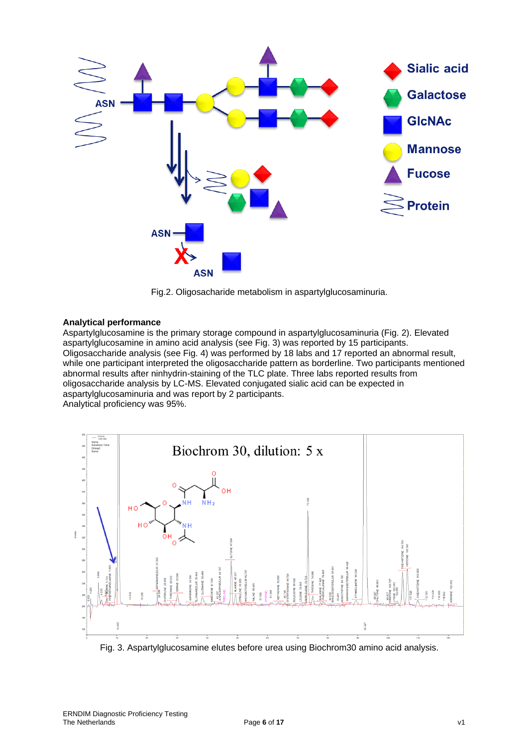

Fig.2. Oligosacharide metabolism in aspartylglucosaminuria.

### **Analytical performance**

Aspartylglucosamine is the primary storage compound in aspartylglucosaminuria (Fig. 2). Elevated aspartylglucosamine in amino acid analysis (see Fig. 3) was reported by 15 participants. Oligosaccharide analysis (see Fig. 4) was performed by 18 labs and 17 reported an abnormal result, while one participant interpreted the oligosaccharide pattern as borderline. Two participants mentioned abnormal results after ninhydrin-staining of the TLC plate. Three labs reported results from oligosaccharide analysis by LC-MS. Elevated conjugated sialic acid can be expected in aspartylglucosaminuria and was report by 2 participants.

Analytical proficiency was 95%.



Fig. 3. Aspartylglucosamine elutes before urea using Biochrom30 amino acid analysis.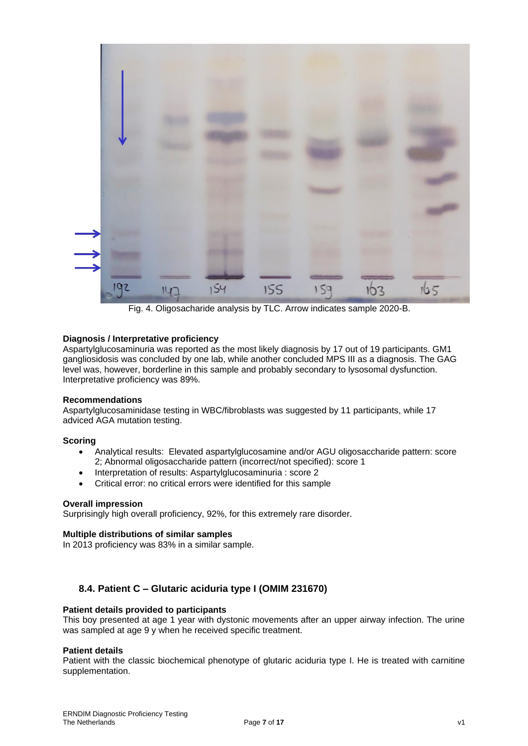

Fig. 4. Oligosacharide analysis by TLC. Arrow indicates sample 2020-B.

## **Diagnosis / Interpretative proficiency**

Aspartylglucosaminuria was reported as the most likely diagnosis by 17 out of 19 participants. GM1 gangliosidosis was concluded by one lab, while another concluded MPS III as a diagnosis. The GAG level was, however, borderline in this sample and probably secondary to lysosomal dysfunction. Interpretative proficiency was 89%.

#### **Recommendations**

Aspartylglucosaminidase testing in WBC/fibroblasts was suggested by 11 participants, while 17 adviced AGA mutation testing.

## **Scoring**

- Analytical results: Elevated aspartylglucosamine and/or AGU oligosaccharide pattern: score 2; Abnormal oligosaccharide pattern (incorrect/not specified): score 1
- Interpretation of results: Aspartylglucosaminuria : score 2
- Critical error: no critical errors were identified for this sample

## **Overall impression**

Surprisingly high overall proficiency, 92%, for this extremely rare disorder.

## **Multiple distributions of similar samples**

In 2013 proficiency was 83% in a similar sample.

## **8.4. Patient C – Glutaric aciduria type I (OMIM 231670)**

#### **Patient details provided to participants**

This boy presented at age 1 year with dystonic movements after an upper airway infection. The urine was sampled at age 9 y when he received specific treatment.

#### **Patient details**

Patient with the classic biochemical phenotype of glutaric aciduria type I. He is treated with carnitine supplementation.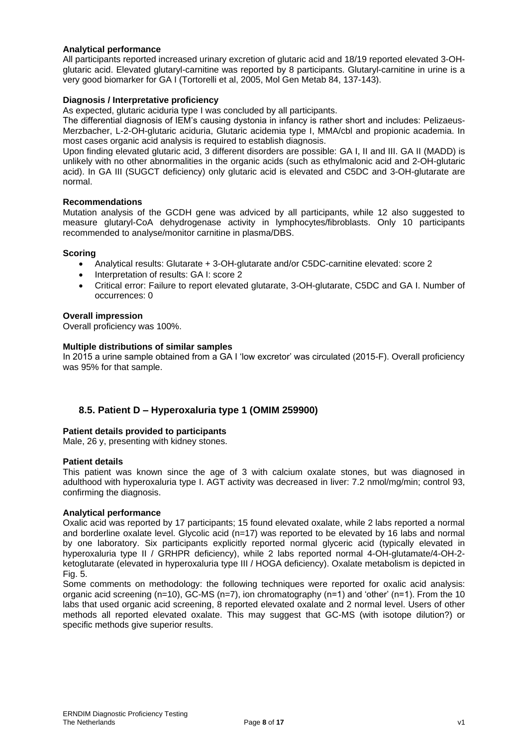## **Analytical performance**

All participants reported increased urinary excretion of glutaric acid and 18/19 reported elevated 3-OHglutaric acid. Elevated glutaryl-carnitine was reported by 8 participants. Glutaryl-carnitine in urine is a very good biomarker for GA I (Tortorelli et al, 2005, Mol Gen Metab 84, 137-143).

### **Diagnosis / Interpretative proficiency**

As expected, glutaric aciduria type I was concluded by all participants.

The differential diagnosis of IEM's causing dystonia in infancy is rather short and includes: Pelizaeus-Merzbacher, L-2-OH-glutaric aciduria, Glutaric acidemia type I, MMA/cbl and propionic academia. In most cases organic acid analysis is required to establish diagnosis.

Upon finding elevated glutaric acid, 3 different disorders are possible: GA I, II and III. GA II (MADD) is unlikely with no other abnormalities in the organic acids (such as ethylmalonic acid and 2-OH-glutaric acid). In GA III (SUGCT deficiency) only glutaric acid is elevated and C5DC and 3-OH-glutarate are normal.

#### **Recommendations**

Mutation analysis of the GCDH gene was adviced by all participants, while 12 also suggested to measure glutaryl-CoA dehydrogenase activity in lymphocytes/fibroblasts. Only 10 participants recommended to analyse/monitor carnitine in plasma/DBS.

#### **Scoring**

- Analytical results: Glutarate + 3-OH-glutarate and/or C5DC-carnitine elevated: score 2
- Interpretation of results: GA I: score 2
- Critical error: Failure to report elevated glutarate, 3-OH-glutarate, C5DC and GA I. Number of occurrences: 0

### **Overall impression**

Overall proficiency was 100%.

#### **Multiple distributions of similar samples**

In 2015 a urine sample obtained from a GA I 'low excretor' was circulated (2015-F). Overall proficiency was 95% for that sample.

## **8.5. Patient D – Hyperoxaluria type 1 (OMIM 259900)**

#### **Patient details provided to participants**

Male, 26 y, presenting with kidney stones.

#### **Patient details**

This patient was known since the age of 3 with calcium oxalate stones, but was diagnosed in adulthood with hyperoxaluria type I. AGT activity was decreased in liver: 7.2 nmol/mg/min; control 93, confirming the diagnosis.

#### **Analytical performance**

Oxalic acid was reported by 17 participants; 15 found elevated oxalate, while 2 labs reported a normal and borderline oxalate level. Glycolic acid (n=17) was reported to be elevated by 16 labs and normal by one laboratory. Six participants explicitly reported normal glyceric acid (typically elevated in hyperoxaluria type II / GRHPR deficiency), while 2 labs reported normal 4-OH-glutamate/4-OH-2 ketoglutarate (elevated in hyperoxaluria type III / HOGA deficiency). Oxalate metabolism is depicted in Fig. 5.

Some comments on methodology: the following techniques were reported for oxalic acid analysis: organic acid screening (n=10), GC-MS (n=7), ion chromatography (n=1) and 'other' (n=1). From the 10 labs that used organic acid screening, 8 reported elevated oxalate and 2 normal level. Users of other methods all reported elevated oxalate. This may suggest that GC-MS (with isotope dilution?) or specific methods give superior results.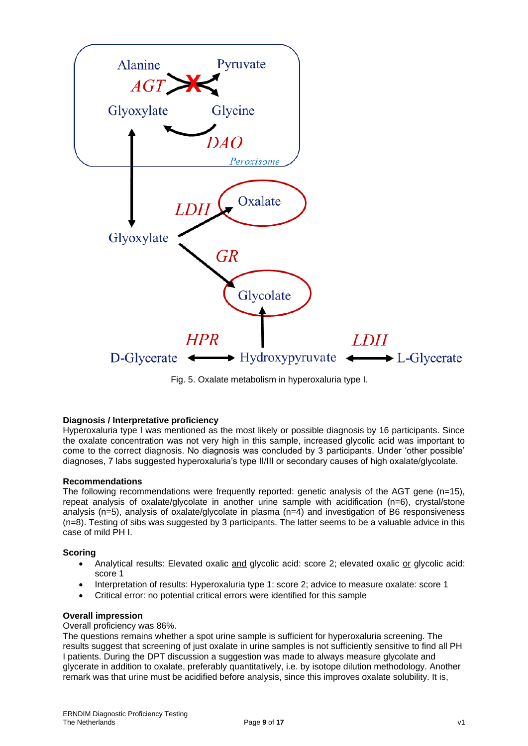

Fig. 5. Oxalate metabolism in hyperoxaluria type I.

## **Diagnosis / Interpretative proficiency**

Hyperoxaluria type I was mentioned as the most likely or possible diagnosis by 16 participants. Since the oxalate concentration was not very high in this sample, increased glycolic acid was important to come to the correct diagnosis. No diagnosis was concluded by 3 participants. Under 'other possible' diagnoses, 7 labs suggested hyperoxaluria's type II/III or secondary causes of high oxalate/glycolate.

#### **Recommendations**

The following recommendations were frequently reported: genetic analysis of the AGT gene (n=15), repeat analysis of oxalate/glycolate in another urine sample with acidification (n=6), crystal/stone analysis (n=5), analysis of oxalate/glycolate in plasma (n=4) and investigation of B6 responsiveness (n=8). Testing of sibs was suggested by 3 participants. The latter seems to be a valuable advice in this case of mild PH I.

#### **Scoring**

- Analytical results: Elevated oxalic and glycolic acid: score 2; elevated oxalic or glycolic acid: score 1
- Interpretation of results: Hyperoxaluria type 1: score 2; advice to measure oxalate: score 1
- Critical error: no potential critical errors were identified for this sample

#### **Overall impression**

### Overall proficiency was 86%.

The questions remains whether a spot urine sample is sufficient for hyperoxaluria screening. The results suggest that screening of just oxalate in urine samples is not sufficiently sensitive to find all PH I patients. During the DPT discussion a suggestion was made to always measure glycolate and glycerate in addition to oxalate, preferably quantitatively, i.e. by isotope dilution methodology. Another remark was that urine must be acidified before analysis, since this improves oxalate solubility. It is,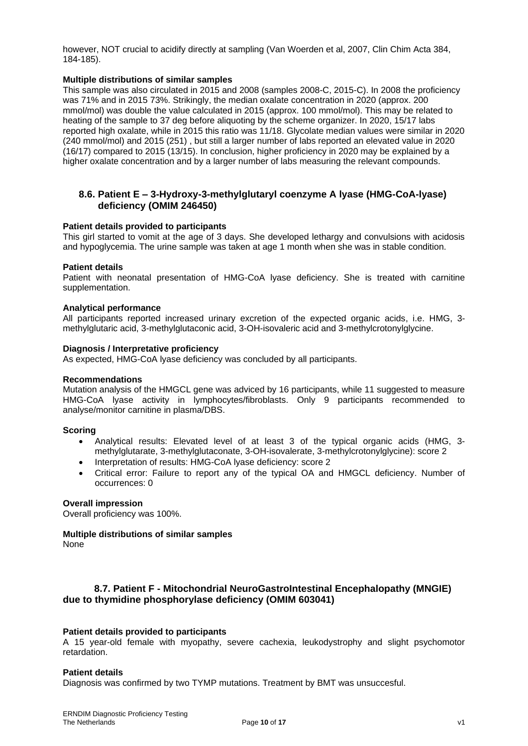however, NOT crucial to acidify directly at sampling (Van Woerden et al, 2007, Clin Chim Acta 384, 184-185).

### **Multiple distributions of similar samples**

This sample was also circulated in 2015 and 2008 (samples 2008-C, 2015-C). In 2008 the proficiency was 71% and in 2015 73%. Strikingly, the median oxalate concentration in 2020 (approx. 200 mmol/mol) was double the value calculated in 2015 (approx. 100 mmol/mol). This may be related to heating of the sample to 37 deg before aliquoting by the scheme organizer. In 2020, 15/17 labs reported high oxalate, while in 2015 this ratio was 11/18. Glycolate median values were similar in 2020 (240 mmol/mol) and 2015 (251) , but still a larger number of labs reported an elevated value in 2020 (16/17) compared to 2015 (13/15). In conclusion, higher proficiency in 2020 may be explained by a higher oxalate concentration and by a larger number of labs measuring the relevant compounds.

## **8.6. Patient E – 3-Hydroxy-3-methylglutaryl coenzyme A lyase (HMG-CoA-lyase) deficiency (OMIM 246450)**

#### **Patient details provided to participants**

This girl started to vomit at the age of 3 days. She developed lethargy and convulsions with acidosis and hypoglycemia. The urine sample was taken at age 1 month when she was in stable condition.

### **Patient details**

Patient with neonatal presentation of HMG-CoA lyase deficiency. She is treated with carnitine supplementation.

#### **Analytical performance**

All participants reported increased urinary excretion of the expected organic acids, i.e. HMG, 3 methylglutaric acid, 3-methylglutaconic acid, 3-OH-isovaleric acid and 3-methylcrotonylglycine.

#### **Diagnosis / Interpretative proficiency**

As expected, HMG-CoA lyase deficiency was concluded by all participants.

#### **Recommendations**

Mutation analysis of the HMGCL gene was adviced by 16 participants, while 11 suggested to measure HMG-CoA lyase activity in lymphocytes/fibroblasts. Only 9 participants recommended to analyse/monitor carnitine in plasma/DBS.

#### **Scoring**

- Analytical results: Elevated level of at least 3 of the typical organic acids (HMG, 3 methylglutarate, 3-methylglutaconate, 3-OH-isovalerate, 3-methylcrotonylglycine): score 2
- Interpretation of results: HMG-CoA lyase deficiency: score 2
- Critical error: Failure to report any of the typical OA and HMGCL deficiency. Number of occurrences: 0

#### **Overall impression**

Overall proficiency was 100%.

## **Multiple distributions of similar samples**

None

## **8.7. Patient F - Mitochondrial NeuroGastroIntestinal Encephalopathy (MNGIE) due to thymidine phosphorylase deficiency (OMIM 603041)**

## **Patient details provided to participants**

A 15 year-old female with myopathy, severe cachexia, leukodystrophy and slight psychomotor retardation.

## **Patient details**

Diagnosis was confirmed by two TYMP mutations. Treatment by BMT was unsuccesful.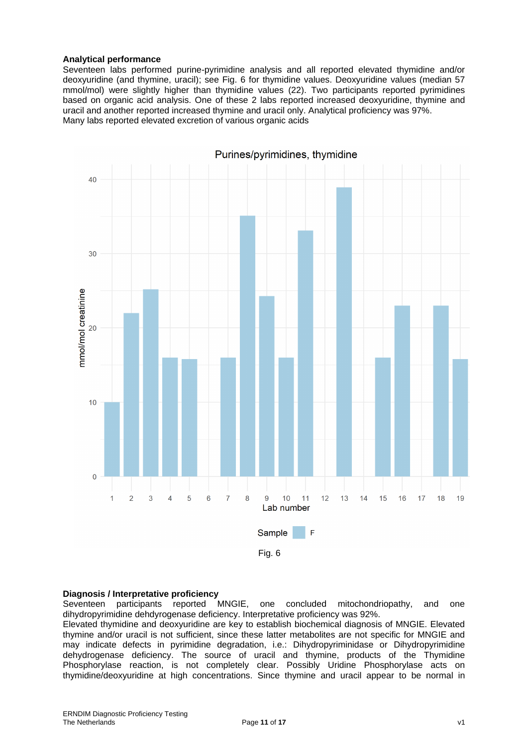#### **Analytical performance**

Seventeen labs performed purine-pyrimidine analysis and all reported elevated thymidine and/or deoxyuridine (and thymine, uracil); see Fig. 6 for thymidine values. Deoxyuridine values (median 57 mmol/mol) were slightly higher than thymidine values (22). Two participants reported pyrimidines based on organic acid analysis. One of these 2 labs reported increased deoxyuridine, thymine and uracil and another reported increased thymine and uracil only. Analytical proficiency was 97%. Many labs reported elevated excretion of various organic acids



#### **Diagnosis / Interpretative proficiency**

Seventeen participants reported MNGIE, one concluded mitochondriopathy, and one dihydropyrimidine dehdyrogenase deficiency. Interpretative proficiency was 92%.

Elevated thymidine and deoxyuridine are key to establish biochemical diagnosis of MNGIE. Elevated thymine and/or uracil is not sufficient, since these latter metabolites are not specific for MNGIE and may indicate defects in pyrimidine degradation, i.e.: Dihydropyriminidase or Dihydropyrimidine dehydrogenase deficiency. The source of uracil and thymine, products of the Thymidine Phosphorylase reaction, is not completely clear. Possibly Uridine Phosphorylase acts on thymidine/deoxyuridine at high concentrations. Since thymine and uracil appear to be normal in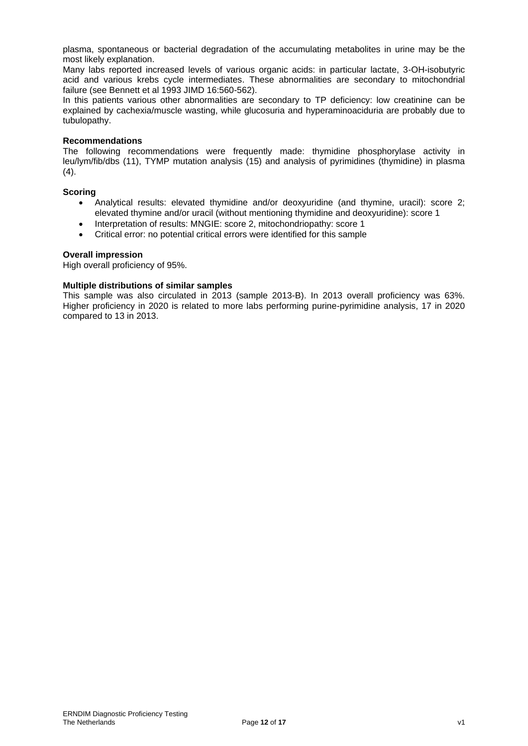plasma, spontaneous or bacterial degradation of the accumulating metabolites in urine may be the most likely explanation.

Many labs reported increased levels of various organic acids: in particular lactate, 3-OH-isobutyric acid and various krebs cycle intermediates. These abnormalities are secondary to mitochondrial failure (see Bennett et al 1993 JIMD 16:560-562).

In this patients various other abnormalities are secondary to TP deficiency: low creatinine can be explained by cachexia/muscle wasting, while glucosuria and hyperaminoaciduria are probably due to tubulopathy.

#### **Recommendations**

The following recommendations were frequently made: thymidine phosphorylase activity in leu/lym/fib/dbs (11), TYMP mutation analysis (15) and analysis of pyrimidines (thymidine) in plasma  $(4).$ 

### **Scoring**

- Analytical results: elevated thymidine and/or deoxyuridine (and thymine, uracil): score 2; elevated thymine and/or uracil (without mentioning thymidine and deoxyuridine): score 1
- Interpretation of results: MNGIE: score 2, mitochondriopathy: score 1
- Critical error: no potential critical errors were identified for this sample

#### **Overall impression**

High overall proficiency of 95%.

#### **Multiple distributions of similar samples**

This sample was also circulated in 2013 (sample 2013-B). In 2013 overall proficiency was 63%. Higher proficiency in 2020 is related to more labs performing purine-pyrimidine analysis, 17 in 2020 compared to 13 in 2013.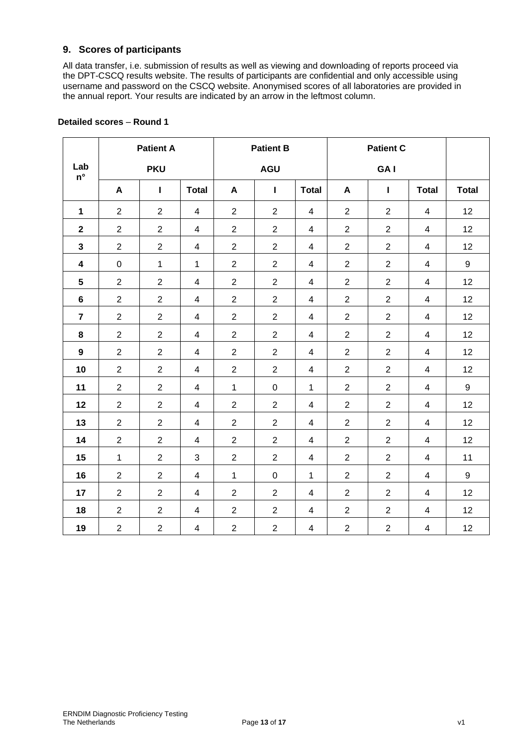## **9. Scores of participants**

All data transfer, i.e. submission of results as well as viewing and downloading of reports proceed via the DPT-CSCQ results website. The results of participants are confidential and only accessible using username and password on the CSCQ website. Anonymised scores of all laboratories are provided in the annual report. Your results are indicated by an arrow in the leftmost column.

|                           | <b>Patient A</b> |                  |                          |                  | <b>Patient B</b> |                          |                | <b>Patient C</b> |                          |              |  |
|---------------------------|------------------|------------------|--------------------------|------------------|------------------|--------------------------|----------------|------------------|--------------------------|--------------|--|
| Lab<br>$\mathsf{n}^\circ$ |                  | <b>PKU</b>       |                          |                  | <b>AGU</b>       |                          |                | GA I             |                          |              |  |
|                           | A                | L                | <b>Total</b>             | A                | Т                | <b>Total</b>             | A              | $\mathbf{I}$     | <b>Total</b>             | <b>Total</b> |  |
| $\mathbf{1}$              | $\overline{2}$   | $\overline{2}$   | $\overline{4}$           | $\overline{2}$   | $\overline{2}$   | 4                        | $\overline{2}$ | $\overline{2}$   | $\overline{4}$           | 12           |  |
| $\mathbf{2}$              | $\overline{2}$   | $\overline{2}$   | $\overline{4}$           | $\overline{2}$   | $\overline{2}$   | $\overline{4}$           | $\overline{2}$ | $\overline{2}$   | $\overline{4}$           | 12           |  |
| $\mathbf 3$               | $\overline{2}$   | $\overline{2}$   | $\overline{\mathbf{4}}$  | $\overline{2}$   | $\overline{2}$   | $\overline{\mathcal{A}}$ | $\overline{2}$ | $\overline{2}$   | $\overline{\mathbf{4}}$  | 12           |  |
| $\overline{\mathbf{4}}$   | $\pmb{0}$        | $\mathbf{1}$     | $\mathbf{1}$             | $\overline{2}$   | $\overline{2}$   | 4                        | $\overline{2}$ | $\overline{2}$   | 4                        | 9            |  |
| $\sqrt{5}$                | $\overline{c}$   | $\overline{2}$   | $\overline{\mathbf{4}}$  | $\sqrt{2}$       | $\overline{2}$   | 4                        | $\overline{2}$ | $\overline{2}$   | $\overline{\mathbf{4}}$  | 12           |  |
| $\bf 6$                   | $\overline{2}$   | $\overline{2}$   | $\overline{4}$           | $\overline{2}$   | $\overline{2}$   | $\overline{\mathcal{A}}$ | $\overline{2}$ | $\overline{2}$   | $\overline{\mathbf{4}}$  | 12           |  |
| $\overline{7}$            | $\overline{2}$   | $\overline{2}$   | $\overline{\mathbf{4}}$  | $\sqrt{2}$       | $\overline{2}$   | 4                        | $\overline{2}$ | $\overline{2}$   | 4                        | 12           |  |
| 8                         | $\overline{2}$   | $\overline{2}$   | $\overline{4}$           | $\boldsymbol{2}$ | $\overline{2}$   | $\overline{\mathbf{4}}$  | $\overline{2}$ | $\overline{2}$   | $\overline{\mathcal{A}}$ | 12           |  |
| 9                         | $\overline{2}$   | $\overline{2}$   | 4                        | $\overline{2}$   | $\overline{2}$   | 4                        | $\overline{2}$ | $\overline{2}$   | 4                        | 12           |  |
| 10                        | $\overline{2}$   | $\overline{2}$   | $\overline{4}$           | $\boldsymbol{2}$ | $\overline{2}$   | $\overline{\mathbf{4}}$  | $\overline{2}$ | $\overline{2}$   | $\overline{\mathcal{A}}$ | 12           |  |
| 11                        | $\overline{2}$   | $\overline{2}$   | $\overline{4}$           | $\mathbf{1}$     | $\mathbf 0$      | $\mathbf{1}$             | $\overline{2}$ | $\overline{2}$   | $\overline{\mathcal{A}}$ | 9            |  |
| 12                        | $\overline{2}$   | $\overline{2}$   | 4                        | $\overline{2}$   | $\overline{2}$   | 4                        | $\overline{2}$ | $\overline{2}$   | 4                        | 12           |  |
| 13                        | $\overline{2}$   | $\overline{2}$   | $\overline{4}$           | $\boldsymbol{2}$ | $\overline{2}$   | $\overline{\mathbf{4}}$  | $\overline{2}$ | $\overline{2}$   | $\overline{\mathcal{A}}$ | 12           |  |
| 14                        | $\overline{2}$   | $\overline{2}$   | $\overline{\mathbf{4}}$  | $\boldsymbol{2}$ | $\overline{2}$   | 4                        | $\overline{2}$ | $\overline{2}$   | 4                        | 12           |  |
| 15                        | $\mathbf{1}$     | $\overline{2}$   | 3                        | $\overline{2}$   | $\overline{2}$   | $\overline{4}$           | $\overline{2}$ | $\overline{2}$   | 4                        | 11           |  |
| 16                        | $\overline{2}$   | $\overline{2}$   | $\overline{4}$           | $\mathbf{1}$     | $\mathsf 0$      | $\mathbf{1}$             | $\overline{2}$ | $\overline{2}$   | 4                        | 9            |  |
| 17                        | $\overline{2}$   | $\overline{2}$   | $\overline{4}$           | $\overline{2}$   | $\overline{2}$   | 4                        | $\overline{2}$ | $\overline{2}$   | 4                        | 12           |  |
| 18                        | $\overline{2}$   | $\overline{2}$   | $\overline{4}$           | $\overline{2}$   | $\overline{2}$   | $\overline{4}$           | $\overline{2}$ | $\overline{2}$   | $\overline{\mathcal{A}}$ | 12           |  |
| 19                        | $\overline{2}$   | $\boldsymbol{2}$ | $\overline{\mathcal{A}}$ | $\overline{2}$   | $\overline{2}$   | 4                        | $\overline{2}$ | $\overline{2}$   | $\overline{\mathbf{4}}$  | 12           |  |

## **Detailed scores** – **Round 1**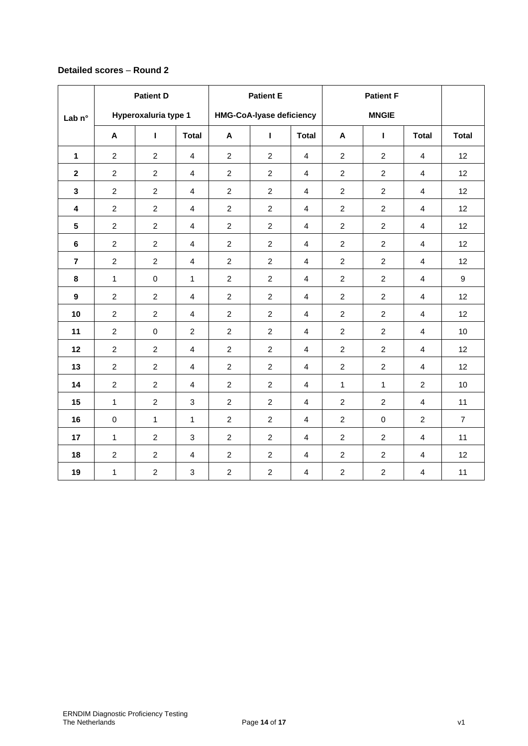## **Detailed scores** – **Round 2**

|                         | <b>Patient D</b> |                      |                | <b>Patient E</b> |                                 |                         |                |                |                         |                  |
|-------------------------|------------------|----------------------|----------------|------------------|---------------------------------|-------------------------|----------------|----------------|-------------------------|------------------|
| Lab <sub>n°</sub>       |                  | Hyperoxaluria type 1 |                |                  | <b>HMG-CoA-lyase deficiency</b> |                         | <b>MNGIE</b>   |                |                         |                  |
|                         | A                | L                    | <b>Total</b>   | A                | $\mathbf{I}$                    | <b>Total</b>            | A              | $\mathbf{I}$   | <b>Total</b>            | <b>Total</b>     |
| $\mathbf{1}$            | $\overline{2}$   | $\overline{2}$       | $\overline{4}$ | $\overline{2}$   | $\overline{2}$                  | $\overline{4}$          | $\overline{c}$ | $\overline{a}$ | $\overline{4}$          | 12               |
| $\mathbf{2}$            | $\overline{c}$   | $\overline{2}$       | $\overline{4}$ | $\overline{c}$   | $\overline{2}$                  | $\overline{4}$          | $\overline{2}$ | $\overline{2}$ | $\overline{4}$          | 12               |
| $\mathbf{3}$            | $\overline{2}$   | $\overline{2}$       | $\overline{4}$ | $\overline{c}$   | $\overline{2}$                  | $\overline{4}$          | $\overline{2}$ | $\overline{a}$ | $\overline{4}$          | 12               |
| $\overline{\mathbf{4}}$ | $\overline{2}$   | $\overline{2}$       | $\overline{4}$ | $\overline{2}$   | $\overline{2}$                  | $\overline{4}$          | $\overline{2}$ | $\overline{2}$ | $\overline{4}$          | 12               |
| $5\phantom{.0}$         | $\overline{2}$   | $\overline{2}$       | $\overline{4}$ | $\overline{2}$   | $\overline{2}$                  | $\overline{4}$          | $\overline{c}$ | $\overline{2}$ | 4                       | 12               |
| $\bf 6$                 | $\overline{c}$   | $\overline{2}$       | $\overline{4}$ | $\overline{c}$   | $\overline{2}$                  | $\overline{4}$          | $\overline{2}$ | $\overline{a}$ | $\overline{4}$          | 12               |
| $\overline{7}$          | $\overline{2}$   | $\overline{2}$       | $\overline{4}$ | $\overline{2}$   | $\overline{2}$                  | $\overline{4}$          | $\overline{2}$ | $\overline{2}$ | $\overline{4}$          | 12               |
| 8                       | $\mathbf{1}$     | $\mathsf 0$          | $\mathbf{1}$   | $\overline{c}$   | $\overline{c}$                  | $\overline{4}$          | $\overline{a}$ | $\overline{2}$ | $\overline{4}$          | $\boldsymbol{9}$ |
| $\boldsymbol{9}$        | $\overline{c}$   | $\overline{c}$       | $\overline{4}$ | $\overline{c}$   | $\overline{2}$                  | $\overline{4}$          | $\overline{2}$ | $\overline{2}$ | $\overline{4}$          | 12               |
| 10                      | $\overline{2}$   | $\overline{2}$       | $\overline{4}$ | $\overline{2}$   | $\overline{2}$                  | $\overline{4}$          | $\overline{2}$ | $\overline{a}$ | $\overline{4}$          | 12               |
| 11                      | $\overline{2}$   | $\pmb{0}$            | $\overline{2}$ | $\overline{2}$   | $\overline{2}$                  | $\overline{4}$          | $\overline{2}$ | $\overline{a}$ | $\overline{4}$          | 10               |
| 12                      | $\overline{2}$   | $\overline{2}$       | $\overline{4}$ | $\overline{2}$   | $\overline{2}$                  | $\overline{\mathbf{4}}$ | $\overline{2}$ | $\overline{2}$ | $\overline{4}$          | 12               |
| 13                      | $\overline{c}$   | $\overline{2}$       | 4              | $\overline{c}$   | $\overline{2}$                  | 4                       | $\overline{2}$ | $\overline{a}$ | 4                       | 12               |
| 14                      | $\overline{2}$   | $\overline{2}$       | $\overline{4}$ | $\overline{2}$   | $\overline{2}$                  | $\overline{4}$          | $\mathbf{1}$   | $\mathbf{1}$   | $\overline{2}$          | 10               |
| 15                      | $\mathbf{1}$     | $\overline{2}$       | 3              | $\overline{2}$   | $\overline{2}$                  | $\overline{4}$          | $\overline{2}$ | $\overline{2}$ | $\overline{4}$          | 11               |
| 16                      | 0                | $\mathbf{1}$         | $\mathbf{1}$   | $\overline{c}$   | $\overline{2}$                  | 4                       | $\overline{2}$ | $\mathbf 0$    | $\overline{2}$          | $\overline{7}$   |
| 17                      | $\mathbf{1}$     | $\overline{2}$       | 3              | $\overline{2}$   | $\overline{2}$                  | $\overline{4}$          | $\overline{2}$ | $\overline{2}$ | $\overline{4}$          | 11               |
| 18                      | $\overline{2}$   | $\overline{2}$       | $\overline{4}$ | $\overline{c}$   | $\overline{2}$                  | $\overline{4}$          | $\overline{c}$ | $\overline{2}$ | $\overline{\mathbf{4}}$ | 12               |
| 19                      | $\mathbf{1}$     | $\overline{2}$       | $\mathfrak{S}$ | $\overline{c}$   | $\overline{2}$                  | $\overline{4}$          | $\overline{a}$ | $\overline{a}$ | $\overline{\mathbf{4}}$ | 11               |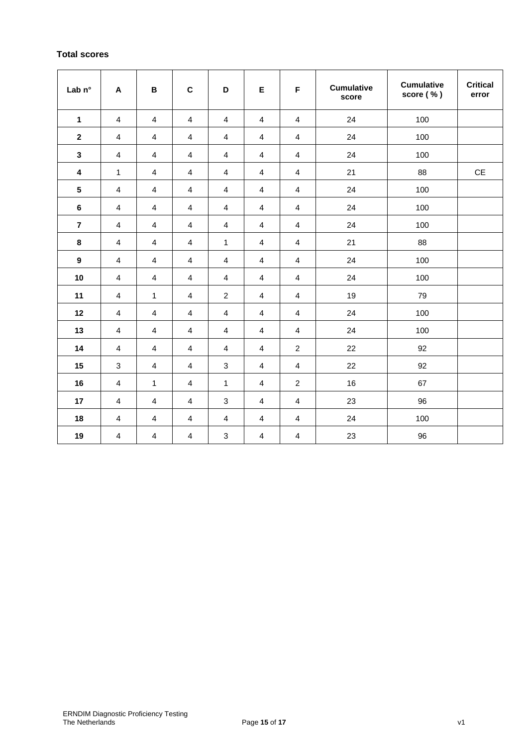## **Total scores**

| Lab n°                  | $\boldsymbol{\mathsf{A}}$ | В                       | $\mathbf C$             | D                         | E                       | F                       | <b>Cumulative</b><br>score | <b>Cumulative</b><br>score (%) | <b>Critical</b><br>error |
|-------------------------|---------------------------|-------------------------|-------------------------|---------------------------|-------------------------|-------------------------|----------------------------|--------------------------------|--------------------------|
| $\mathbf{1}$            | 4                         | 4                       | 4                       | 4                         | 4                       | 4                       | 24                         | 100                            |                          |
| $\mathbf 2$             | 4                         | 4                       | $\overline{\mathbf{4}}$ | $\overline{\mathbf{4}}$   | $\overline{\mathbf{4}}$ | $\overline{\mathbf{4}}$ | 24                         | 100                            |                          |
| $\mathbf{3}$            | 4                         | 4                       | $\overline{\mathbf{4}}$ | $\overline{\mathbf{4}}$   | $\overline{\mathbf{4}}$ | $\overline{\mathbf{4}}$ | 24                         | 100                            |                          |
| 4                       | 1                         | 4                       | 4                       | 4                         | 4                       | 4                       | 21                         | 88                             | CE                       |
| $5\phantom{.0}$         | 4                         | 4                       | $\overline{\mathbf{4}}$ | $\overline{\mathbf{4}}$   | $\overline{\mathbf{4}}$ | $\overline{\mathbf{4}}$ | 24                         | 100                            |                          |
| $\bf 6$                 | 4                         | 4                       | 4                       | 4                         | 4                       | 4                       | 24                         | 100                            |                          |
| $\overline{\mathbf{r}}$ | 4                         | 4                       | 4                       | 4                         | 4                       | 4                       | 24                         | 100                            |                          |
| 8                       | 4                         | 4                       | 4                       | 1                         | 4                       | 4                       | 21                         | 88                             |                          |
| $\boldsymbol{9}$        | 4                         | 4                       | $\overline{\mathbf{4}}$ | $\overline{\mathbf{4}}$   | $\overline{\mathbf{4}}$ | $\overline{\mathbf{4}}$ | 24                         | 100                            |                          |
| 10                      | $\overline{\mathbf{4}}$   | $\overline{\mathbf{4}}$ | $\overline{\mathbf{4}}$ | $\overline{\mathbf{4}}$   | 4                       | 4                       | 24                         | 100                            |                          |
| 11                      | $\overline{\mathbf{4}}$   | $\mathbf{1}$            | $\overline{\mathbf{4}}$ | $\boldsymbol{2}$          | $\overline{\mathbf{4}}$ | $\overline{\mathbf{4}}$ | 19                         | 79                             |                          |
| 12                      | $\overline{\mathbf{4}}$   | $\overline{\mathbf{4}}$ | $\overline{\mathbf{4}}$ | $\overline{\mathbf{4}}$   | 4                       | 4                       | 24                         | 100                            |                          |
| 13                      | $\overline{\mathbf{4}}$   | $\overline{\mathbf{4}}$ | $\overline{\mathbf{4}}$ | $\overline{\mathbf{4}}$   | $\overline{\mathbf{4}}$ | $\overline{4}$          | 24                         | 100                            |                          |
| 14                      | 4                         | $\overline{4}$          | 4                       | 4                         | 4                       | $\overline{c}$          | 22                         | 92                             |                          |
| 15                      | $\sqrt{3}$                | $\overline{\mathbf{4}}$ | $\overline{\mathbf{4}}$ | $\ensuremath{\mathsf{3}}$ | $\overline{\mathbf{4}}$ | $\overline{\mathbf{4}}$ | 22                         | 92                             |                          |
| 16                      | $\overline{\mathbf{4}}$   | 1                       | $\overline{\mathbf{4}}$ | 1                         | $\overline{\mathbf{4}}$ | $\boldsymbol{2}$        | 16                         | 67                             |                          |
| 17                      | $\overline{\mathbf{4}}$   | $\overline{\mathbf{4}}$ | $\overline{\mathbf{4}}$ | $\ensuremath{\mathsf{3}}$ | $\overline{\mathbf{4}}$ | $\overline{\mathbf{4}}$ | 23                         | 96                             |                          |
| 18                      | $\overline{\mathbf{4}}$   | $\overline{\mathbf{4}}$ | 4                       | $\overline{\mathbf{4}}$   | 4                       | 4                       | 24                         | 100                            |                          |
| 19                      | $\overline{\mathbf{4}}$   | $\overline{\mathbf{4}}$ | $\overline{\mathbf{4}}$ | $\ensuremath{\mathsf{3}}$ | $\overline{4}$          | $\overline{4}$          | 23                         | 96                             |                          |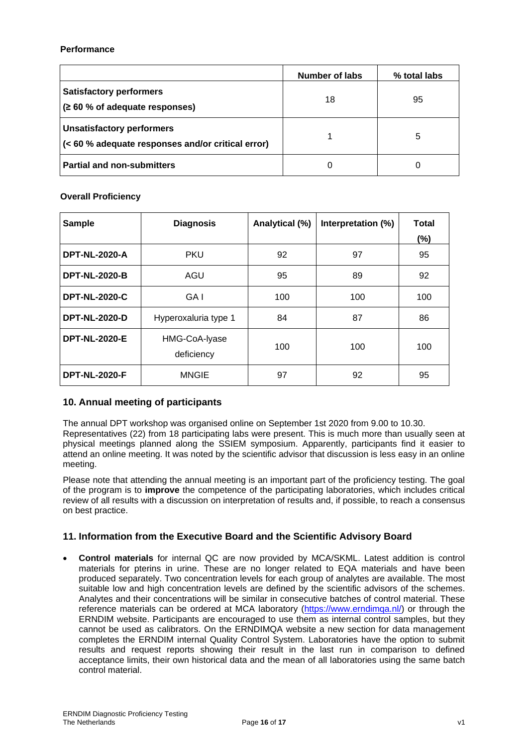### **Performance**

|                                                                                       | Number of labs | % total labs |
|---------------------------------------------------------------------------------------|----------------|--------------|
| <b>Satisfactory performers</b><br>(260 % of adequate responses)                       | 18             | 95           |
| <b>Unsatisfactory performers</b><br>(< 60 % adequate responses and/or critical error) |                | 5            |
| <b>Partial and non-submitters</b>                                                     | 0              |              |

## **Overall Proficiency**

| <b>Sample</b>        | <b>Diagnosis</b>            | Analytical (%) | Interpretation (%) | <b>Total</b> |
|----------------------|-----------------------------|----------------|--------------------|--------------|
|                      |                             |                |                    | (%)          |
| <b>DPT-NL-2020-A</b> | <b>PKU</b>                  | 92             | 97                 | 95           |
| <b>DPT-NL-2020-B</b> | AGU                         | 95             | 89                 | 92           |
| <b>DPT-NL-2020-C</b> | GA I                        | 100            | 100                | 100          |
| <b>DPT-NL-2020-D</b> | Hyperoxaluria type 1        | 84             | 87                 | 86           |
| <b>DPT-NL-2020-E</b> | HMG-CoA-Iyase<br>deficiency | 100            | 100                | 100          |
| <b>DPT-NL-2020-F</b> | <b>MNGIE</b>                | 97             | 92                 | 95           |

## **10. Annual meeting of participants**

The annual DPT workshop was organised online on September 1st 2020 from 9.00 to 10.30. Representatives (22) from 18 participating labs were present. This is much more than usually seen at physical meetings planned along the SSIEM symposium. Apparently, participants find it easier to attend an online meeting. It was noted by the scientific advisor that discussion is less easy in an online meeting.

Please note that attending the annual meeting is an important part of the proficiency testing. The goal of the program is to **improve** the competence of the participating laboratories, which includes critical review of all results with a discussion on interpretation of results and, if possible, to reach a consensus on best practice.

## **11. Information from the Executive Board and the Scientific Advisory Board**

• **Control materials** for internal QC are now provided by MCA/SKML. Latest addition is control materials for pterins in urine. These are no longer related to EQA materials and have been produced separately. Two concentration levels for each group of analytes are available. The most suitable low and high concentration levels are defined by the scientific advisors of the schemes. Analytes and their concentrations will be similar in consecutive batches of control material. These reference materials can be ordered at MCA laboratory [\(https://www.erndimqa.nl/\)](https://www.erndimqa.nl/) or through the ERNDIM website. Participants are encouraged to use them as internal control samples, but they cannot be used as calibrators. On the ERNDIMQA website a new section for data management completes the ERNDIM internal Quality Control System. Laboratories have the option to submit results and request reports showing their result in the last run in comparison to defined acceptance limits, their own historical data and the mean of all laboratories using the same batch control material.